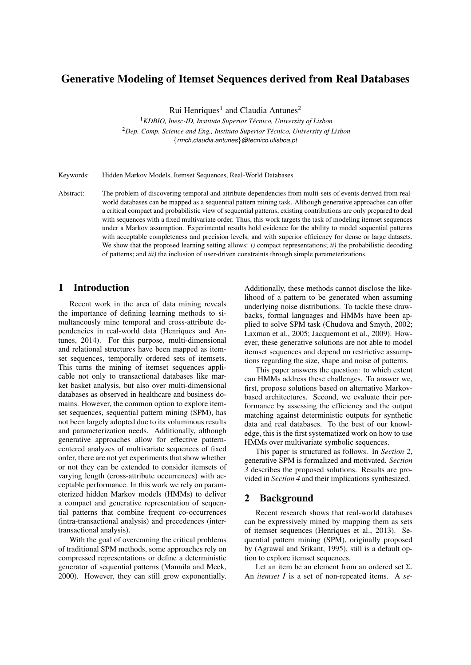# Generative Modeling of Itemset Sequences derived from Real Databases

Rui Henriques<sup>1</sup> and Claudia Antunes<sup>2</sup>

<sup>1</sup> KDBIO, Inesc-ID, Instituto Superior Técnico, University of Lisbon <sup>2</sup>*Dep. Comp. Science and Eng., Instituto Superior Tecnico, University of Lisbon ´* {*rmch,claudia.antunes*}*@tecnico.ulisboa.pt*

Keywords: Hidden Markov Models, Itemset Sequences, Real-World Databases

Abstract: The problem of discovering temporal and attribute dependencies from multi-sets of events derived from realworld databases can be mapped as a sequential pattern mining task. Although generative approaches can offer a critical compact and probabilistic view of sequential patterns, existing contributions are only prepared to deal with sequences with a fixed multivariate order. Thus, this work targets the task of modeling itemset sequences under a Markov assumption. Experimental results hold evidence for the ability to model sequential patterns with acceptable completeness and precision levels, and with superior efficiency for dense or large datasets. We show that the proposed learning setting allows: *i*) compact representations; *ii*) the probabilistic decoding of patterns; and *iii)* the inclusion of user-driven constraints through simple parameterizations.

### 1 Introduction

Recent work in the area of data mining reveals the importance of defining learning methods to simultaneously mine temporal and cross-attribute dependencies in real-world data (Henriques and Antunes, 2014). For this purpose, multi-dimensional and relational structures have been mapped as itemset sequences, temporally ordered sets of itemsets. This turns the mining of itemset sequences applicable not only to transactional databases like market basket analysis, but also over multi-dimensional databases as observed in healthcare and business domains. However, the common option to explore itemset sequences, sequential pattern mining (SPM), has not been largely adopted due to its voluminous results and parameterization needs. Additionally, although generative approaches allow for effective patterncentered analyzes of multivariate sequences of fixed order, there are not yet experiments that show whether or not they can be extended to consider itemsets of varying length (cross-attribute occurrences) with acceptable performance. In this work we rely on parameterized hidden Markov models (HMMs) to deliver a compact and generative representation of sequential patterns that combine frequent co-occurrences (intra-transactional analysis) and precedences (intertransactional analysis).

With the goal of overcoming the critical problems of traditional SPM methods, some approaches rely on compressed representations or define a deterministic generator of sequential patterns (Mannila and Meek, 2000). However, they can still grow exponentially.

Additionally, these methods cannot disclose the likelihood of a pattern to be generated when assuming underlying noise distributions. To tackle these drawbacks, formal languages and HMMs have been applied to solve SPM task (Chudova and Smyth, 2002; Laxman et al., 2005; Jacquemont et al., 2009). However, these generative solutions are not able to model itemset sequences and depend on restrictive assumptions regarding the size, shape and noise of patterns.

This paper answers the question: to which extent can HMMs address these challenges. To answer we, first, propose solutions based on alternative Markovbased architectures. Second, we evaluate their performance by assessing the efficiency and the output matching against deterministic outputs for synthetic data and real databases. To the best of our knowledge, this is the first systematized work on how to use HMMs over multivariate symbolic sequences.

This paper is structured as follows. In *Section 2*, generative SPM is formalized and motivated. *Section*  $\overline{3}$  describes the proposed solutions. Results are provided in *Section 4* and their implications synthesized.

### 2 Background

Recent research shows that real-world databases can be expressively mined by mapping them as sets of itemset sequences (Henriques et al., 2013). Sequential pattern mining (SPM), originally proposed by (Agrawal and Srikant, 1995), still is a default option to explore itemset sequences.

Let an item be an element from an ordered set  $\Sigma$ . An *itemset I* is a set of non-repeated items. A *se-*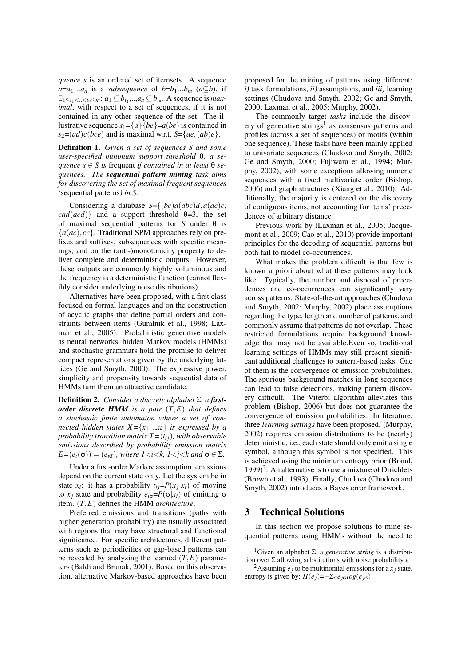*quence s* is an ordered set of itemsets. A sequence  $a=a_1...a_n$  is a *subsequence* of  $b=b_1...b_m$  ( $a\subseteq b$ ), if  $\exists_{1 \leq i_1 < \ldots < i_n \leq m}$ :  $a_1 \subseteq b_{i_1}, \ldots, a_n \subseteq b_{i_n}$ . A sequence is *maximal*, with respect to a set of sequences, if it is not contained in any other sequence of the set. The illustrative sequence  $s_1 = \{a\}$ {*be*}= $a(bc)$  is contained in  $s_2 = (ad)c(bce)$  and is maximal w.r.t.  $S = \{ae, (ab)e\}.$ 

Definition 1. *Given a set of sequences S and some user-specified minimum support threshold* θ*, a se-* $\alpha$ *quence*  $s \in S$  *is* frequent *if contained in at least*  $\theta$  *sequences. The sequential pattern mining task aims for discovering the set of maximal frequent sequences (*sequential patterns*) in S.*

Considering a database  $S = \{(bc) a (abc) d, a(ac)c,$  $cad(acd)$ } and a support threshold  $\theta=3$ , the set of maximal sequential patterns for *S* under θ is  ${a(ac), cc}$ . Traditional SPM approaches rely on prefixes and suffixes, subsequences with specific meanings, and on the (anti-)monotonicity property to deliver complete and deterministic outputs. However, these outputs are commonly highly voluminous and the frequency is a deterministic function (cannot flexibly consider underlying noise distributions).

Alternatives have been proposed, with a first class focused on formal languages and on the construction of acyclic graphs that define partial orders and constraints between items (Guralnik et al., 1998; Laxman et al., 2005). Probabilistic generative models as neural networks, hidden Markov models (HMMs) and stochastic grammars hold the promise to deliver compact representations given by the underlying lattices (Ge and Smyth, 2000). The expressive power, simplicity and propensity towards sequential data of HMMs turn them an attractive candidate.

Definition 2. *Consider a discrete alphabet* Σ*, a firstorder discrete HMM is a pair* (*T*,*E*) *that defines a stochastic finite automaton where a set of connected hidden states*  $X = \{x_1, \ldots x_k\}$  *is expressed by a probability transition matrix*  $T = (t_{ij})$ *, with observable emissions described by probability emission matrix*  $E = (e_i(\sigma)) = (e_{i\sigma})$ *, where*  $1 \le i \le k$ *,*  $1 \le j \le k$  *and*  $\sigma \in \Sigma$ *.* 

Under a first-order Markov assumption, emissions depend on the current state only. Let the system be in state  $x_i$ : it has a probability  $t_{ij} = P(x_j|x_i)$  of moving to *x<sub>j</sub>* state and probability  $e_{i\sigma} = P(\sigma|x_i)$  of emitting σ item. (*T*,*E*) defines the HMM *architecture*.

Preferred emissions and transitions (paths with higher generation probability) are usually associated with regions that may have structural and functional significance. For specific architectures, different patterns such as periodicities or gap-based patterns can be revealed by analyzing the learned  $(T,E)$  parameters (Baldi and Brunak, 2001). Based on this observation, alternative Markov-based approaches have been proposed for the mining of patterns using different: *i)* task formulations, *ii)* assumptions, and *iii)* learning settings (Chudova and Smyth, 2002; Ge and Smyth, 2000; Laxman et al., 2005; Murphy, 2002).

The commonly target *tasks* include the discovery of generative strings<sup>1</sup> as consensus patterns and profiles (across a set of sequences) or motifs (within one sequence). These tasks have been mainly applied to univariate sequences (Chudova and Smyth, 2002; Ge and Smyth, 2000; Fujiwara et al., 1994; Murphy, 2002), with some exceptions allowing numeric sequences with a fixed multivariate order (Bishop, 2006) and graph structures (Xiang et al., 2010). Additionally, the majority is centered on the discovery of contiguous items, not accounting for items' precedences of arbitrary distance.

Previous work by (Laxman et al., 2005; Jacquemont et al., 2009; Cao et al., 2010) provide important principles for the decoding of sequential patterns but both fail to model co-occurrences.

What makes the problem difficult is that few is known a priori about what these patterns may look like. Typically, the number and disposal of precedences and co-occurrences can significantly vary across patterns. State-of-the-art approaches (Chudova and Smyth, 2002; Murphy, 2002) place assumptions regarding the type, length and number of patterns, and commonly assume that patterns do not overlap. These restricted formulations require background knowledge that may not be available.Even so, traditional learning settings of HMMs may still present significant additional challenges to pattern-based tasks. One of them is the convergence of emission probabilities. The spurious background matches in long sequences can lead to false detections, making pattern discovery difficult. The Viterbi algorithm alleviates this problem (Bishop, 2006) but does not guarantee the convergence of emission probabilities. In literature, three *learning settings* have been proposed. (Murphy, 2002) requires emission distributions to be (nearly) deterministic, i.e., each state should only emit a single symbol, although this symbol is not specified. This is achieved using the minimum entropy prior (Brand,  $1999)^2$ . An alternative is to use a mixture of Dirichlets (Brown et al., 1993). Finally, Chudova (Chudova and · Smyth, 2002) introduces a Bayes error framework.

### 3 Technical Solutions

In this section we propose solutions to mine sequential patterns using HMMs without the need to

<sup>&</sup>lt;sup>1</sup>Given an alphabet Σ, a *generative string* is a distribution over  $\Sigma$  allowing substitutions with noise probability  $\varepsilon$ 

<sup>&</sup>lt;sup>2</sup> Assuming  $e_j$  to be multinomial emissions for a  $x_j$  state, entropy is given by:  $H(e_i) = -\sum_{\sigma} e_{i\sigma} log(e_{i\sigma})$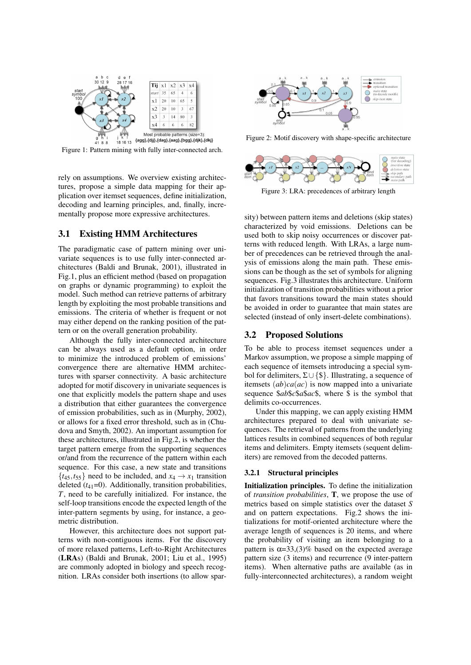

Figure 1: Pattern mining with fully inter-connected arch.

rely on assumptions. We overview existing architectures, propose a simple data mapping for their application over itemset sequences, define initialization, decoding and learning principles, and, finally, incrementally propose more expressive architectures.

#### 3.1 Existing HMM Architectures

The paradigmatic case of pattern mining over univariate sequences is to use fully inter-connected architectures (Baldi and Brunak, 2001), illustrated in Fig.1, plus an efficient method (based on propagation on graphs or dynamic programming) to exploit the model. Such method can retrieve patterns of arbitrary length by exploiting the most probable transitions and emissions. The criteria of whether is frequent or not may either depend on the ranking position of the pattern or on the overall generation probability.

Although the fully inter-connected architecture can be always used as a default option, in order to minimize the introduced problem of emissions' convergence there are alternative HMM architectures with sparser connectivity. A basic architecture adopted for motif discovery in univariate sequences is one that explicitly models the pattern shape and uses a distribution that either guarantees the convergence of emission probabilities, such as in (Murphy, 2002), or allows for a fixed error threshold, such as in (Chudova and Smyth, 2002). An important assumption for these architectures, illustrated in Fig.2, is whether the target pattern emerge from the supporting sequences or/and from the recurrence of the pattern within each sequence. For this case, a new state and transitions  $\{t_{45}, t_{55}\}\)$  need to be included, and  $x_4 \rightarrow x_1$  transition deleted  $(t_{41}=0)$ . Additionally, transition probabilities, *T*, need to be carefully initialized. For instance, the self-loop transitions encode the expected length of the inter-pattern segments by using, for instance, a geometric distribution.

However, this architecture does not support patterns with non-contiguous items. For the discovery of more relaxed patterns, Left-to-Right Architectures (LRAs) (Baldi and Brunak, 2001; Liu et al., 1995) are commonly adopted in biology and speech recognition. LRAs consider both insertions (to allow spar-



Figure 2: Motif discovery with shape-specific architecture



Figure 3: LRA: precedences of arbitrary length

sity) between pattern items and deletions (skip states) characterized by void emissions. Deletions can be used both to skip noisy occurrences or discover patterns with reduced length. With LRAs, a large number of precedences can be retrieved through the analysis of emissions along the main path. These emissions can be though as the set of symbols for aligning sequences. Fig.3 illustrates this architecture. Uniform initialization of transition probabilities without a prior that favors transitions toward the main states should be avoided in order to guarantee that main states are selected (instead of only insert-delete combinations).

#### 3.2 Proposed Solutions

To be able to process itemset sequences under a Markov assumption, we propose a simple mapping of each sequence of itemsets introducing a special symbol for delimiters, Σ∪ {\$}. Illustrating, a sequence of itemsets (*ab*)*ca*(*ac*) is now mapped into a univariate sequence \$*ab*\$*c*\$*a*\$*ac*\$, where \$ is the symbol that delimits co-occurrences.

Under this mapping, we can apply existing HMM architectures prepared to deal with univariate sequences. The retrieval of patterns from the underlying lattices results in combined sequences of both regular items and delimiters. Empty itemsets (sequent delimiters) are removed from the decoded patterns.

#### 3.2.1 Structural principles

. of *transition probabilities*, T, we propose the use of Initialization principles. To define the initialization metrics based on simple statistics over the dataset *S* and on pattern expectations. Fig.2 shows the initializations for motif-oriented architecture where the average length of sequences is 20 items, and where the probability of visiting an item belonging to a pattern is  $\alpha = 33$ , (3)% based on the expected average pattern size (3 items) and recurrence (9 inter-pattern items). When alternative paths are available (as in fully-interconnected architectures), a random weight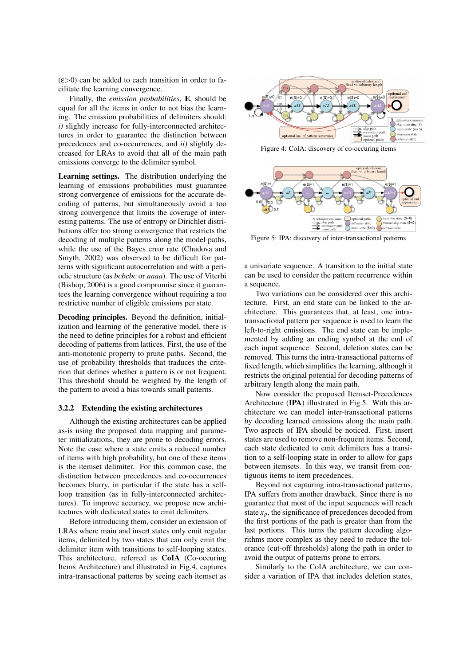$(\epsilon > 0)$  can be added to each transition in order to facilitate the learning convergence.

Finally, the *emission probabilities*, E, should be equal for all the items in order to not bias the learning. The emission probabilities of delimiters should: *i)* slightly increase for fully-interconnected architectures in order to guarantee the distinction between precedences and co-occurrences, and *ii)* slightly decreased for LRAs to avoid that all of the main path emissions converge to the delimiter symbol.

Learning settings. The distribution underlying the learning of emissions probabilities must guarantee strong convergence of emissions for the accurate decoding of patterns, but simultaneously avoid a too strong convergence that limits the coverage of interesting patterns. The use of entropy or Dirichlet distributions offer too strong convergence that restricts the decoding of multiple patterns along the model paths, while the use of the Bayes error rate (Chudova and Smyth, 2002) was observed to be difficult for patterns with significant autocorrelation and with a periodic structure (as *bcbcbc* or *aaaa*). The use of Viterbi (Bishop, 2006) is a good compromise since it guarantees the learning convergence without requiring a too restrictive number of eligible emissions per state.

Decoding principles. Beyond the definition, initialization and learning of the generative model, there is the need to define principles for a robust and efficient decoding of patterns from lattices. First, the use of the anti-monotonic property to prune paths. Second, the use of probability thresholds that traduces the criterion that defines whether a pattern is or not frequent. This threshold should be weighted by the length of the pattern to avoid a bias towards small patterns.

#### 3.2.2 Extending the existing architectures

. as-is using the proposed data mapping and parame-Although the existing architectures can be applied ter initializations, they are prone to decoding errors. Note the case where a state emits a reduced number of items with high probability, but one of these items is the itemset delimiter. For this common case, the distinction between precedences and co-occurrences becomes blurry, in particular if the state has a selfloop transition (as in fully-interconnected architectures). To improve accuracy, we propose new architectures with dedicated states to emit delimiters.

Before introducing them, consider an extension of LRAs where main and insert states only emit regular items, delimited by two states that can only emit the delimiter item with transitions to self-looping states. This architecture, referred as CoIA (Co-occuring Items Architecture) and illustrated in Fig.4, captures intra-transactional patterns by seeing each itemset as



Figure 4: CoIA: discovery of co-occuring items



Figure 5: IPA: discovery of inter-transactional patterns

a univariate sequence. A transition to the initial state can be used to consider the pattern recurrence within a sequence.

Two variations can be considered over this architecture. First, an end state can be linked to the architecture. This guarantees that, at least, one intratransactional pattern per sequence is used to learn the left-to-right emissions. The end state can be implemented by adding an ending symbol at the end of each input sequence. Second, deletion states can be removed. This turns the intra-transactional patterns of fixed length, which simplifies the learning, although it restricts the original potential for decoding patterns of arbitrary length along the main path.

Now consider the proposed Itemset-Precedences Architecture (IPA) illustrated in Fig.5. With this architecture we can model inter-transactional patterns by decoding learned emissions along the main path. Two aspects of IPA should be noticed. First, insert states are used to remove non-frequent items. Second, each state dedicated to emit delimiters has a transition to a self-looping state in order to allow for gaps between itemsets. In this way, we transit from contiguous items to item precedences.

Beyond not capturing intra-transactional patterns, IPA suffers from another drawback. Since there is no guarantee that most of the input sequences will reach state  $x_p$ , the significance of precedences decoded from the first portions of the path is greater than from the last portions. This turns the pattern decoding algorithms more complex as they need to reduce the tolerance (cut-off thresholds) along the path in order to avoid the output of patterns prone to errors.

Similarly to the CoIA architecture, we can consider a variation of IPA that includes deletion states,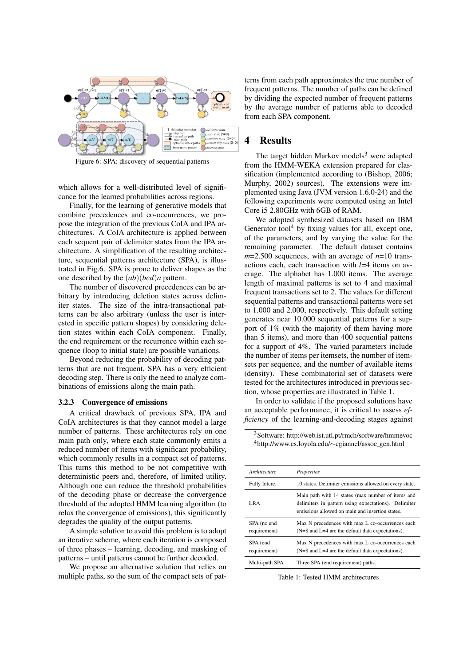

Figure 6: SPA: discovery of sequential patterns

which allows for a well-distributed level of significance for the learned probabilities across regions.

Finally, for the learning of generative models that combine precedences and co-occurrences, we propose the integration of the previous CoIA and IPA architectures. A CoIA architecture is applied between each sequent pair of delimiter states from the IPA architecture. A simplification of the resulting architecture, sequential patterns architecture (SPA), is illustrated in Fig.6. SPA is prone to deliver shapes as the one described by the (*ab*)(*bcd*)*a* pattern.

The number of discovered precedences can be arbitrary by introducing deletion states across delimiter states. The size of the intra-transactional patterns can be also arbitrary (unless the user is interested in specific pattern shapes) by considering deletion states within each CoIA component. Finally, the end requirement or the recurrence within each sequence (loop to initial state) are possible variations.

Beyond reducing the probability of decoding patterns that are not frequent, SPA has a very efficient decoding step. There is only the need to analyze combinations of emissions along the main path.

#### 3.2.3 Convergence of emissions

. CoIA architectures is that they cannot model a large A critical drawback of previous SPA, IPA and number of patterns. These architectures rely on one main path only, where each state commonly emits a reduced number of items with significant probability, which commonly results in a compact set of patterns. This turns this method to be not competitive with deterministic peers and, therefore, of limited utility. Although one can reduce the threshold probabilities of the decoding phase or decrease the convergence threshold of the adopted HMM learning algorithm (to relax the convergence of emissions), this significantly degrades the quality of the output patterns.

A simple solution to avoid this problem is to adopt an iterative scheme, where each iteration is composed of three phases – learning, decoding, and masking of patterns – until patterns cannot be further decoded.

We propose an alternative solution that relies on multiple paths, so the sum of the compact sets of pat-

terns from each path approximates the true number of frequent patterns. The number of paths can be defined by dividing the expected number of frequent patterns by the average number of patterns able to decoded from each SPA component.

#### 4 Results

The target hidden Markov models<sup>3</sup> were adapted from the HMM-WEKA extension prepared for classification (implemented according to (Bishop, 2006; Murphy, 2002) sources). The extensions were implemented using Java (JVM version 1.6.0-24) and the following experiments were computed using an Intel Core i5 2.80GHz with 6GB of RAM.

We adopted synthesized datasets based on IBM Generator tool $4$  by fixing values for all, except one, of the parameters, and by varying the value for the remaining parameter. The default dataset contains *m*=2.500 sequences, with an average of *n*=10 transactions each, each transaction with *l*=4 items on average. The alphabet has 1.000 items. The average length of maximal patterns is set to 4 and maximal frequent transactions set to 2. The values for different sequential patterns and transactional patterns were set to 1.000 and 2.000, respectively. This default setting generates near 10.000 sequential patterns for a support of 1% (with the majority of them having more than 5 items), and more than 400 sequential pattens for a support of 4%. The varied parameters include the number of items per itemsets, the number of itemsets per sequence, and the number of available items (density). These combinatorial set of datasets were tested for the architectures introduced in previous section, whose properties are illustrated in Table 1.

In order to validate if the proposed solutions have an acceptable performance, it is critical to assess *efficiency* of the learning-and-decoding stages against

<sup>3</sup>Software: http://web.ist.utl.pt/rmch/software/hmmevoc <sup>4</sup>http://www.cs.loyola.edu/∼cgiannel/assoc gen.html

| Architecture                | Properties                                                                                                                                                   |
|-----------------------------|--------------------------------------------------------------------------------------------------------------------------------------------------------------|
| Fully Interc.               | 10 states. Delimiter emissions allowed on every state.                                                                                                       |
| LRA                         | Main path with 14 states (max number of items and<br>delimiters in pattern using expectations). Delimiter<br>emissions allowed on main and insertion states. |
| SPA (no end<br>requirement) | Max N precedences with max L co-occurrences each<br>$(N=8$ and $L=4$ are the default data expectations).                                                     |
| SPA (end<br>requirement)    | Max N precedences with max L co-occurrences each<br>$(N=8$ and $L=4$ are the default data expectations).                                                     |
| Multi-path SPA              | Three SPA (end requirement) paths.                                                                                                                           |

Table 1: Tested HMM architectures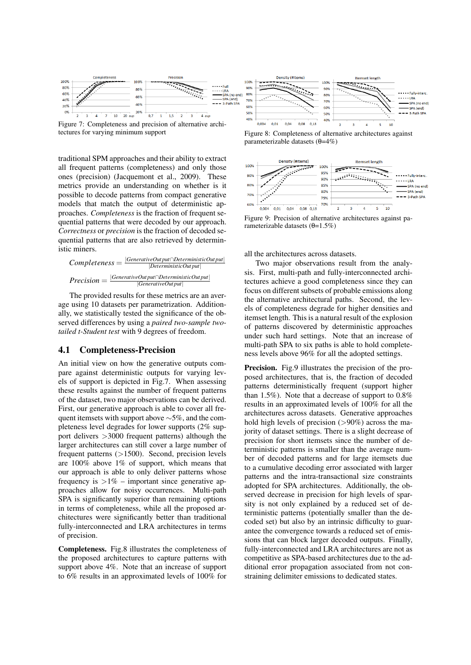

Figure 7: Completeness and precision of alternative architectures for varying minimum support

traditional SPM approaches and their ability to extract all frequent patterns (completeness) and only those ones (precision) (Jacquemont et al., 2009). These metrics provide an understanding on whether is it possible to decode patterns from compact generative models that match the output of deterministic approaches. *Completeness* is the fraction of frequent sequential patterns that were decoded by our approach. *Correctness* or *precision* is the fraction of decoded sequential patterns that are also retrieved by deterministic miners.

*Completeness* = |*GenerativeOut put*∩*DeterministicOut put*| |*DeterministicOut put*| *Precision* = |*GenerativeOut put*∩*DeterministicOut put*| |*GenerativeOut put*|

The provided results for these metrics are an average using 10 datasets per parametrization. Additionally, we statistically tested the significance of the observed differences by using a *paired two-sample twotailed t-Student test* with 9 degrees of freedom.

### 4.1 Completeness-Precision

An initial view on how the generative outputs compare against deterministic outputs for varying levels of support is depicted in Fig.7. When assessing these results against the number of frequent patterns of the dataset, two major observations can be derived. First, our generative approach is able to cover all frequent itemsets with support above ∼5%, and the completeness level degrades for lower supports (2% support delivers >3000 frequent patterns) although the larger architectures can still cover a large number of frequent patterns  $(>1500)$ . Second, precision levels are 100% above 1% of support, which means that our approach is able to only deliver patterns whose frequency is  $>1\%$  – important since generative approaches allow for noisy occurrences. Multi-path SPA is significantly superior than remaining options in terms of completeness, while all the proposed architectures were significantly better than traditional fully-interconnected and LRA architectures in terms of precision.

Completeness. Fig.8 illustrates the completeness of the proposed architectures to capture patterns with support above 4%. Note that an increase of support to 6% results in an approximated levels of 100% for



Figure 8: Completeness of alternative architectures against parameterizable datasets (θ=4%)



Figure 9: Precision of alternative architectures against parameterizable datasets  $(θ=1.5%)$ 

all the architectures across datasets.

Two major observations result from the analysis. First, multi-path and fully-interconnected architectures achieve a good completeness since they can focus on different subsets of probable emissions along the alternative architectural paths. Second, the levels of completeness degrade for higher densities and itemset length. This is a natural result of the explosion of patterns discovered by deterministic approaches under such hard settings. Note that an increase of multi-path SPA to six paths is able to hold completeness levels above 96% for all the adopted settings.

Precision. Fig.9 illustrates the precision of the proposed architectures, that is, the fraction of decoded patterns deterministically frequent (support higher than 1.5%). Note that a decrease of support to 0.8% results in an approximated levels of 100% for all the architectures across datasets. Generative approaches hold high levels of precision  $(>90\%)$  across the majority of dataset settings. There is a slight decrease of precision for short itemsets since the number of deterministic patterns is smaller than the average number of decoded patterns and for large itemsets due to a cumulative decoding error associated with larger patterns and the intra-transactional size constraints adopted for SPA architectures. Additionally, the observed decrease in precision for high levels of sparsity is not only explained by a reduced set of deterministic patterns (potentially smaller than the decoded set) but also by an intrinsic difficulty to guarantee the convergence towards a reduced set of emissions that can block larger decoded outputs. Finally, fully-interconnected and LRA architectures are not as competitive as SPA-based architectures due to the additional error propagation associated from not constraining delimiter emissions to dedicated states.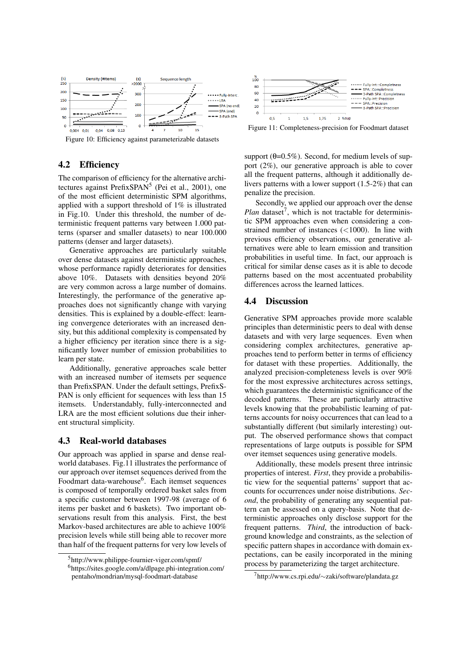

Figure 10: Efficiency against parameterizable datasets

### 4.2 Efficiency

The comparison of efficiency for the alternative architectures against PrefixSPAN<sup>5</sup> (Pei et al., 2001), one of the most efficient deterministic SPM algorithms, applied with a support threshold of 1% is illustrated in Fig.10. Under this threshold, the number of deterministic frequent patterns vary between 1.000 patterns (sparser and smaller datasets) to near 100.000 patterns (denser and larger datasets).

Generative approaches are particularly suitable over dense datasets against deterministic approaches, whose performance rapidly deteriorates for densities above 10%. Datasets with densities beyond 20% are very common across a large number of domains. Interestingly, the performance of the generative approaches does not significantly change with varying densities. This is explained by a double-effect: learning convergence deteriorates with an increased density, but this additional complexity is compensated by a higher efficiency per iteration since there is a significantly lower number of emission probabilities to learn per state.

Additionally, generative approaches scale better with an increased number of itemsets per sequence than PrefixSPAN. Under the default settings, PrefixS-PAN is only efficient for sequences with less than 15 itemsets. Understandably, fully-interconnected and LRA are the most efficient solutions due their inherent structural simplicity.

#### 4.3 Real-world databases

Our approach was applied in sparse and dense realworld databases. Fig.11 illustrates the performance of our approach over itemset sequences derived from the Foodmart data-warehouse<sup>6</sup>. Each itemset sequences is composed of temporally ordered basket sales from a specific customer between 1997-98 (average of 6 items per basket and 6 baskets). Two important observations result from this analysis. First, the best Markov-based architectures are able to achieve 100% precision levels while still being able to recover more than half of the frequent patterns for very low levels of



Figure 11: Completeness-precision for Foodmart dataset

support  $(\theta=0.5\%)$ . Second, for medium levels of support (2%), our generative approach is able to cover all the frequent patterns, although it additionally delivers patterns with a lower support (1.5-2%) that can penalize the precision.

Secondly, we applied our approach over the dense  $Plan$  dataset<sup>7</sup>, which is not tractable for deterministic SPM approaches even when considering a constrained number of instances (<1000). In line with previous efficiency observations, our generative alternatives were able to learn emission and transition probabilities in useful time. In fact, our approach is critical for similar dense cases as it is able to decode patterns based on the most accentuated probability differences across the learned lattices.

#### 4.4 Discussion

Generative SPM approaches provide more scalable principles than deterministic peers to deal with dense datasets and with very large sequences. Even when considering complex architectures, generative approaches tend to perform better in terms of efficiency for dataset with these properties. Additionally, the analyzed precision-completeness levels is over 90% for the most expressive architectures across settings, which guarantees the deterministic significance of the decoded patterns. These are particularly attractive levels knowing that the probabilistic learning of patterns accounts for noisy occurrences that can lead to a substantially different (but similarly interesting) output. The observed performance shows that compact representations of large outputs is possible for SPM over itemset sequences using generative models.

Additionally, these models present three intrinsic properties of interest. *First*, they provide a probabilistic view for the sequential patterns' support that accounts for occurrences under noise distributions. *Second*, the probability of generating any sequential pattern can be assessed on a query-basis. Note that deterministic approaches only disclose support for the frequent patterns. *Third*, the introduction of background knowledge and constraints, as the selection of specific pattern shapes in accordance with domain expectations, can be easily incorporated in the mining process by parameterizing the target architecture.

<sup>5</sup>http://www.philippe-fournier-viger.com/spmf/

<sup>6</sup>https://sites.google.com/a/dlpage.phi-integration.com/ pentaho/mondrian/mysql-foodmart-database

<sup>7</sup>http://www.cs.rpi.edu/∼zaki/software/plandata.gz